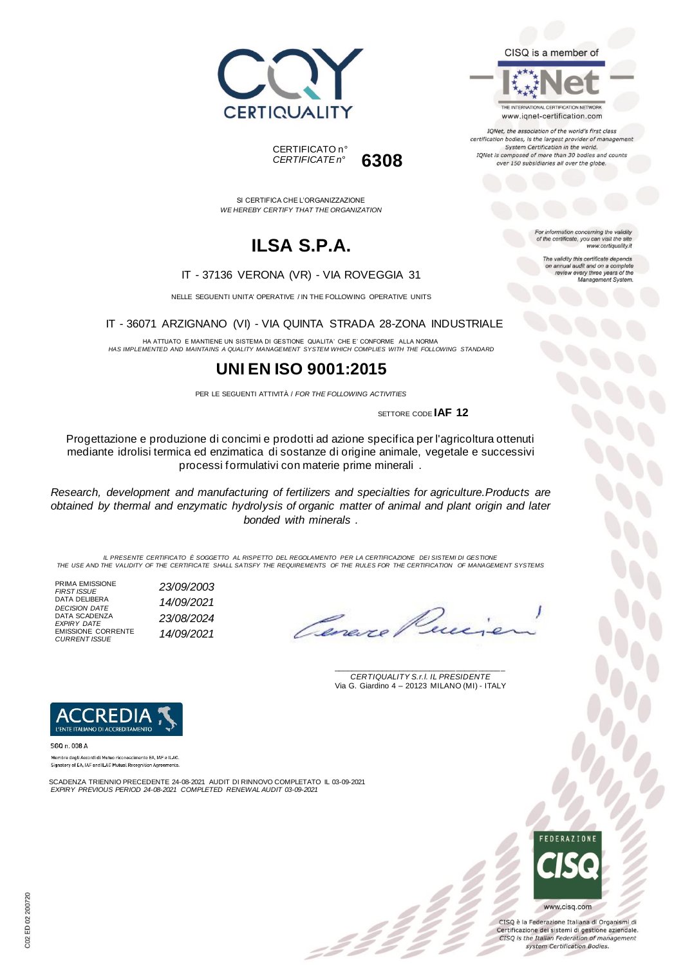



SI CERTIFICA CHE L'ORGANIZZAZIONE

# **ILSA S.P.A.**

*WE HEREBY CERTIFY THAT THE ORGANIZATION*

#### IT - 37136 VERONA (VR) - VIA ROVEGGIA 31

NELLE SEGUENTI UNITA' OPERATIVE / IN THE FOLLOWING OPERATIVE UNITS

IT - 36071 ARZIGNANO (VI) - VIA QUINTA STRADA 28-ZONA INDUSTRIALE

HA ATTUATO E MANTIENE UN SISTEMA DI GESTIONE QUALITA' CHE E' CONFORME ALLA NORMA *HAS IMPLEMENTED AND MAINTAINS A QUALITY MANAGEMENT SYSTEM WHICH COMPLIES WITH THE FOLLOWING STANDARD*

### **UNI EN ISO 9001:2015**

PER LE SEGUENTI ATTIVITÀ / *FOR THE FOLLOWING ACTIVITIES*

SETTORE CODE **IAF 12**

Progettazione e produzione di concimi e prodotti ad azione specifica per l'agricoltura ottenuti mediante idrolisi termica ed enzimatica di sostanze di origine animale, vegetale e successivi processi formulativi con materie prime minerali .

*Research, development and manufacturing of fertilizers and specialties for agriculture.Products are obtained by thermal and enzymatic hydrolysis of organic matter of animal and plant origin and later bonded with minerals .*

*IL PRESENTE CERTIFICATO È SOGGETTO AL RISPETTO DEL REGOLAMENTO PER LA CERTIFICAZIONE DEI SISTEMI DI GESTIONE THE USE AND THE VALIDITY OF THE CERTIFICATE SHALL SATISFY THE REQUIREMENTS OF THE RULES FOR THE CERTIFICATION OF MANAGEMENT SYSTEMS*

PRIMA EMISSIONE *FIRST ISSUE 23/09/2003* DATA DELIBERA *DECISION DATE 14/09/2021* DATA SCADENZA *EXPIRY DATE 23/08/2024* EMISSIONE CORRENTE *CURRENT ISSUE 14/09/2021*

Cane.

\_\_\_\_\_\_\_\_\_\_\_\_\_\_\_\_\_\_\_\_\_\_\_\_\_\_\_\_\_\_\_\_\_\_\_\_\_\_\_ *CERTIQUALITY S.r.l. IL PRESIDENTE* Via G. Giardino 4 – 20123 MILANO (MI) - ITALY



SGQ n. 008 A Membro degli Accordi di Mutuo riconoscimento EA, IAF e ILAC.

Signatory of EA, IAF and ILAC Mutual Recognition Agreements

SCADENZA TRIENNIO PRECEDENTE 24-08-2021 AUDIT DI RINNOVO COMPLETATO IL 03-09-2021 *EXPIRY PREVIOUS PERIOD 24-08-2021 COMPLETED RENEWAL AUDIT 03-09-2021*



CISQ è la Federazione Italiana di Organismi di Certificazione dei sistemi di gestione aziendale. CISQ is the Italian Federation of management system Certification Bodies.



IQNet, the association of the world's first class certification bodies, is the largest provider of managen System Certification in the world. IQNet is composed of more than 30 bodies and counts over 150 subsidiaries all over the globe.

> For information concerning the validity<br>of the certificate, you can visit the site www.certiquality.it

> > The validity this certificate depends on annual audit and on a complete<br>review every three years of the<br>Management System.